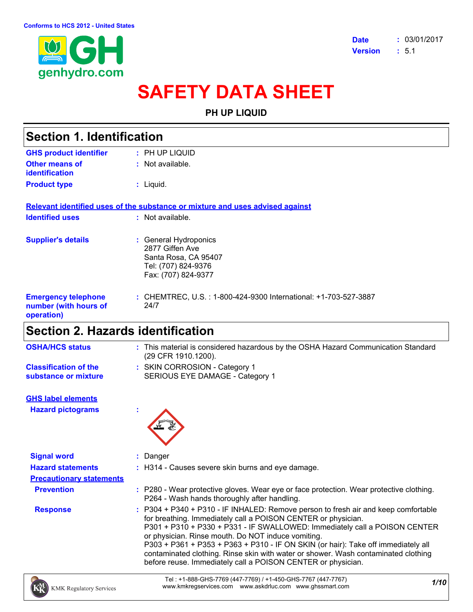

# **SAFETY DATA SHEET**

### **PH UP LIQUID**

| <b>Section 1. Identification</b>                                  |                                                                                                                |  |
|-------------------------------------------------------------------|----------------------------------------------------------------------------------------------------------------|--|
| <b>GHS product identifier</b>                                     | $:$ PH UP LIQUID                                                                                               |  |
| Other means of<br>identification                                  | $:$ Not available.                                                                                             |  |
| <b>Product type</b>                                               | $:$ Liquid.                                                                                                    |  |
|                                                                   | Relevant identified uses of the substance or mixture and uses advised against                                  |  |
| <b>Identified uses</b>                                            | $:$ Not available.                                                                                             |  |
| <b>Supplier's details</b>                                         | : General Hydroponics<br>2877 Giffen Ave<br>Santa Rosa, CA 95407<br>Tel: (707) 824-9376<br>Fax: (707) 824-9377 |  |
| <b>Emergency telephone</b><br>number (with hours of<br>operation) | : CHEMTREC, U.S. : 1-800-424-9300 International: +1-703-527-3887<br>24/7                                       |  |
| .                                                                 | .                                                                                                              |  |

## **Section 2. Hazards identification**

| <b>OSHA/HCS status</b>       | : This material is considered hazardous by the OSHA Hazard Communication Standard<br>(29 CFR 1910.1200). |
|------------------------------|----------------------------------------------------------------------------------------------------------|
| <b>Classification of the</b> | : SKIN CORROSION - Category 1                                                                            |
| substance or mixture         | SERIOUS EYE DAMAGE - Category 1                                                                          |

**Hazard pictograms : GHS label elements**



| <b>Signal word</b>              | : Danger                                                                                                                                                                                                                                                                                                                                                                                                                                                                                                                           |
|---------------------------------|------------------------------------------------------------------------------------------------------------------------------------------------------------------------------------------------------------------------------------------------------------------------------------------------------------------------------------------------------------------------------------------------------------------------------------------------------------------------------------------------------------------------------------|
| <b>Hazard statements</b>        | : H314 - Causes severe skin burns and eye damage.                                                                                                                                                                                                                                                                                                                                                                                                                                                                                  |
| <b>Precautionary statements</b> |                                                                                                                                                                                                                                                                                                                                                                                                                                                                                                                                    |
| <b>Prevention</b>               | : P280 - Wear protective gloves. Wear eye or face protection. Wear protective clothing.<br>P264 - Wash hands thoroughly after handling.                                                                                                                                                                                                                                                                                                                                                                                            |
| <b>Response</b>                 | : P304 + P340 + P310 - IF INHALED: Remove person to fresh air and keep comfortable<br>for breathing. Immediately call a POISON CENTER or physician.<br>P301 + P310 + P330 + P331 - IF SWALLOWED: Immediately call a POISON CENTER<br>or physician. Rinse mouth. Do NOT induce vomiting.<br>P303 + P361 + P353 + P363 + P310 - IF ON SKIN (or hair): Take off immediately all<br>contaminated clothing. Rinse skin with water or shower. Wash contaminated clothing<br>before reuse. Immediately call a POISON CENTER or physician. |

*1/10* Tel : +1-888-GHS-7769 (447-7769) / +1-450-GHS-7767 (447-7767) www.kmkregservices.com www.askdrluc.com www.ghssmart.com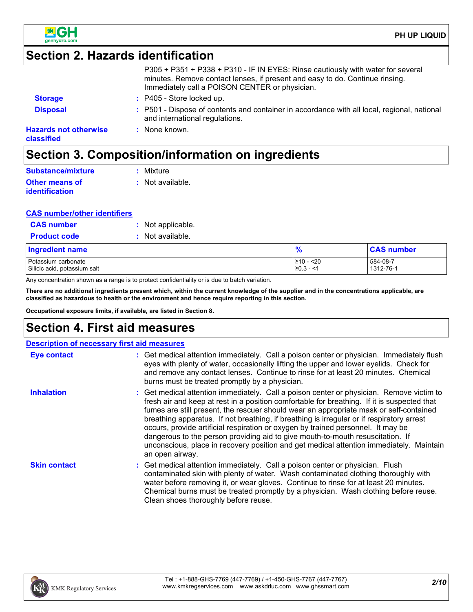

## **Section 2. Hazards identification**

| <b>Hazards not otherwise</b><br>classified | : None known.                                                                                                                                                                                                     |
|--------------------------------------------|-------------------------------------------------------------------------------------------------------------------------------------------------------------------------------------------------------------------|
| <b>Disposal</b>                            | : P501 - Dispose of contents and container in accordance with all local, regional, national<br>and international regulations.                                                                                     |
| <b>Storage</b>                             | : P405 - Store locked up.                                                                                                                                                                                         |
|                                            | P305 + P351 + P338 + P310 - IF IN EYES: Rinse cautiously with water for several<br>minutes. Remove contact lenses, if present and easy to do. Continue rinsing.<br>Immediately call a POISON CENTER or physician. |

## **Section 3. Composition/information on ingredients**

| <b>Substance/mixture</b> | : Mixture        |
|--------------------------|------------------|
| <b>Other means of</b>    | : Not available. |
| <b>identification</b>    |                  |

### **CAS number/other identifiers**

| <b>CAS number</b>   | : Not applicable. |
|---------------------|-------------------|
| <b>Product code</b> | : Not available.  |

| <b>Ingredient name</b>       | $\bullet$      | <b>CAS number</b> |
|------------------------------|----------------|-------------------|
| Potassium carbonate          | 210 - <20      | 584-08-7          |
| Silicic acid, potassium salt | $\geq 0.3 - 1$ | 1312-76-1         |

Any concentration shown as a range is to protect confidentiality or is due to batch variation.

**There are no additional ingredients present which, within the current knowledge of the supplier and in the concentrations applicable, are classified as hazardous to health or the environment and hence require reporting in this section.**

**Occupational exposure limits, if available, are listed in Section 8.**

## **Section 4. First aid measures**

|                     | <b>Description of necessary first aid measures</b>                                                                                                                                                                                                                                                                                                                                                                                                                                                                                                                                                                                                                 |
|---------------------|--------------------------------------------------------------------------------------------------------------------------------------------------------------------------------------------------------------------------------------------------------------------------------------------------------------------------------------------------------------------------------------------------------------------------------------------------------------------------------------------------------------------------------------------------------------------------------------------------------------------------------------------------------------------|
| <b>Eye contact</b>  | : Get medical attention immediately. Call a poison center or physician. Immediately flush<br>eyes with plenty of water, occasionally lifting the upper and lower eyelids. Check for<br>and remove any contact lenses. Continue to rinse for at least 20 minutes. Chemical<br>burns must be treated promptly by a physician.                                                                                                                                                                                                                                                                                                                                        |
| <b>Inhalation</b>   | : Get medical attention immediately. Call a poison center or physician. Remove victim to<br>fresh air and keep at rest in a position comfortable for breathing. If it is suspected that<br>fumes are still present, the rescuer should wear an appropriate mask or self-contained<br>breathing apparatus. If not breathing, if breathing is irregular or if respiratory arrest<br>occurs, provide artificial respiration or oxygen by trained personnel. It may be<br>dangerous to the person providing aid to give mouth-to-mouth resuscitation. If<br>unconscious, place in recovery position and get medical attention immediately. Maintain<br>an open airway. |
| <b>Skin contact</b> | : Get medical attention immediately. Call a poison center or physician. Flush<br>contaminated skin with plenty of water. Wash contaminated clothing thoroughly with<br>water before removing it, or wear gloves. Continue to rinse for at least 20 minutes.<br>Chemical burns must be treated promptly by a physician. Wash clothing before reuse.<br>Clean shoes thoroughly before reuse.                                                                                                                                                                                                                                                                         |

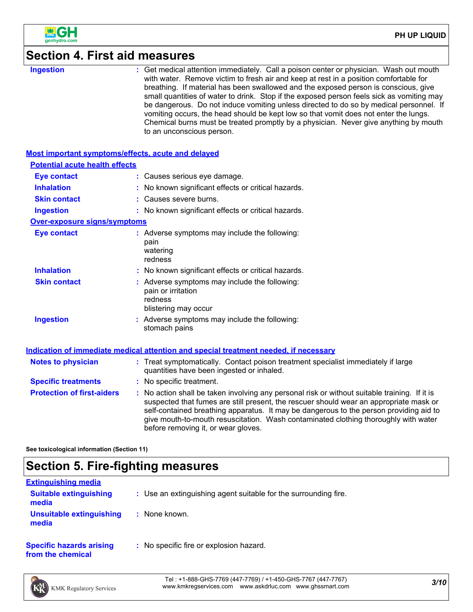

## **Section 4. First aid measures**

| <b>Ingestion</b>                                   | : Get medical attention immediately. Call a poison center or physician. Wash out mouth<br>with water. Remove victim to fresh air and keep at rest in a position comfortable for<br>breathing. If material has been swallowed and the exposed person is conscious, give<br>small quantities of water to drink. Stop if the exposed person feels sick as vomiting may<br>be dangerous. Do not induce vomiting unless directed to do so by medical personnel. If<br>vomiting occurs, the head should be kept low so that vomit does not enter the lungs.<br>Chemical burns must be treated promptly by a physician. Never give anything by mouth<br>to an unconscious person. |
|----------------------------------------------------|----------------------------------------------------------------------------------------------------------------------------------------------------------------------------------------------------------------------------------------------------------------------------------------------------------------------------------------------------------------------------------------------------------------------------------------------------------------------------------------------------------------------------------------------------------------------------------------------------------------------------------------------------------------------------|
| Most important symptoms/effects, acute and delayed |                                                                                                                                                                                                                                                                                                                                                                                                                                                                                                                                                                                                                                                                            |
| <b>Potential acute health effects</b>              |                                                                                                                                                                                                                                                                                                                                                                                                                                                                                                                                                                                                                                                                            |
| <b>Eye contact</b>                                 | : Causes serious eye damage.                                                                                                                                                                                                                                                                                                                                                                                                                                                                                                                                                                                                                                               |
| <b>Inhalation</b>                                  | No known significant effects or critical hazards.                                                                                                                                                                                                                                                                                                                                                                                                                                                                                                                                                                                                                          |
| <b>Skin contact</b>                                | Causes severe burns.                                                                                                                                                                                                                                                                                                                                                                                                                                                                                                                                                                                                                                                       |
| <b>Ingestion</b>                                   | : No known significant effects or critical hazards.                                                                                                                                                                                                                                                                                                                                                                                                                                                                                                                                                                                                                        |
| Over-exposure signs/symptoms                       |                                                                                                                                                                                                                                                                                                                                                                                                                                                                                                                                                                                                                                                                            |
| <b>Eye contact</b>                                 | : Adverse symptoms may include the following:<br>pain<br>watering<br>redness                                                                                                                                                                                                                                                                                                                                                                                                                                                                                                                                                                                               |
| <b>Inhalation</b>                                  | : No known significant effects or critical hazards.                                                                                                                                                                                                                                                                                                                                                                                                                                                                                                                                                                                                                        |
| <b>Skin contact</b>                                | : Adverse symptoms may include the following:<br>pain or irritation<br>redness<br>blistering may occur                                                                                                                                                                                                                                                                                                                                                                                                                                                                                                                                                                     |
| <b>Ingestion</b>                                   | : Adverse symptoms may include the following:<br>stomach pains                                                                                                                                                                                                                                                                                                                                                                                                                                                                                                                                                                                                             |
|                                                    | Indication of immediate medical attention and special treatment needed, if necessary                                                                                                                                                                                                                                                                                                                                                                                                                                                                                                                                                                                       |
| <b>Notes to physician</b>                          | : Treat symptomatically. Contact poison treatment specialist immediately if large<br>quantities have been ingested or inhaled.                                                                                                                                                                                                                                                                                                                                                                                                                                                                                                                                             |
| <b>Specific treatments</b>                         | : No specific treatment.                                                                                                                                                                                                                                                                                                                                                                                                                                                                                                                                                                                                                                                   |
| <b>Protection of first-aiders</b>                  | : No action shall be taken involving any personal risk or without suitable training. If it is<br>suspected that fumes are still present, the rescuer should wear an appropriate mask or<br>self-contained breathing apparatus. It may be dangerous to the person providing aid to<br>give mouth-to-mouth resuscitation. Wash contaminated clothing thoroughly with water<br>before removing it, or wear gloves.                                                                                                                                                                                                                                                            |
|                                                    |                                                                                                                                                                                                                                                                                                                                                                                                                                                                                                                                                                                                                                                                            |

**See toxicological information (Section 11)**

## **Section 5. Fire-fighting measures**

| <b>Extinguishing media</b>                           |                                                                 |
|------------------------------------------------------|-----------------------------------------------------------------|
| <b>Suitable extinguishing</b><br>media               | : Use an extinguishing agent suitable for the surrounding fire. |
| Unsuitable extinguishing<br>media                    | : None known.                                                   |
| <b>Specific hazards arising</b><br>from the chemical | : No specific fire or explosion hazard.                         |

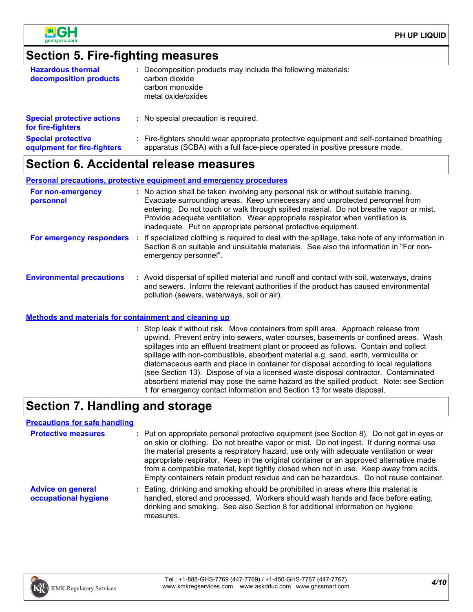



### **Section 5. Fire-fighting measures**

| <b>Hazardous thermal</b><br>decomposition products     | Decomposition products may include the following materials:<br>carbon dioxide<br>carbon monoxide<br>metal oxide/oxides |
|--------------------------------------------------------|------------------------------------------------------------------------------------------------------------------------|
| <b>Special protective actions</b><br>for fire-fighters | : No special precaution is required.                                                                                   |
| <b>Special protective</b>                              | Fire-fighters should wear appropriate protective equipment and self-contained breathing                                |

#### apparatus (SCBA) with a full face-piece operated in positive pressure mode. **equipment for fire-fighters**

### **Section 6. Accidental release measures**

|                                  |      | <b>Personal precautions, protective equipment and emergency procedures</b>                                                                                                                                                                                                                                                                                                                                      |
|----------------------------------|------|-----------------------------------------------------------------------------------------------------------------------------------------------------------------------------------------------------------------------------------------------------------------------------------------------------------------------------------------------------------------------------------------------------------------|
| For non-emergency<br>personnel   |      | : No action shall be taken involving any personal risk or without suitable training.<br>Evacuate surrounding areas. Keep unnecessary and unprotected personnel from<br>entering. Do not touch or walk through spilled material. Do not breathe vapor or mist.<br>Provide adequate ventilation. Wear appropriate respirator when ventilation is<br>inadequate. Put on appropriate personal protective equipment. |
| For emergency responders         | - 11 | If specialized clothing is required to deal with the spillage, take note of any information in<br>Section 8 on suitable and unsuitable materials. See also the information in "For non-<br>emergency personnel".                                                                                                                                                                                                |
| <b>Environmental precautions</b> |      | : Avoid dispersal of spilled material and runoff and contact with soil, waterways, drains<br>and sewers. Inform the relevant authorities if the product has caused environmental<br>pollution (sewers, waterways, soil or air).                                                                                                                                                                                 |

### **Methods and materials for containment and cleaning up**

Stop leak if without risk. Move containers from spill area. Approach release from **:** upwind. Prevent entry into sewers, water courses, basements or confined areas. Wash spillages into an effluent treatment plant or proceed as follows. Contain and collect spillage with non-combustible, absorbent material e.g. sand, earth, vermiculite or diatomaceous earth and place in container for disposal according to local regulations (see Section 13). Dispose of via a licensed waste disposal contractor. Contaminated absorbent material may pose the same hazard as the spilled product. Note: see Section 1 for emergency contact information and Section 13 for waste disposal.

## **Section 7. Handling and storage**

### **Precautions for safe handling**

| <b>Protective measures</b>                       | : Put on appropriate personal protective equipment (see Section 8). Do not get in eyes or<br>on skin or clothing. Do not breathe vapor or mist. Do not ingest. If during normal use<br>the material presents a respiratory hazard, use only with adequate ventilation or wear<br>appropriate respirator. Keep in the original container or an approved alternative made<br>from a compatible material, kept tightly closed when not in use. Keep away from acids.<br>Empty containers retain product residue and can be hazardous. Do not reuse container. |
|--------------------------------------------------|------------------------------------------------------------------------------------------------------------------------------------------------------------------------------------------------------------------------------------------------------------------------------------------------------------------------------------------------------------------------------------------------------------------------------------------------------------------------------------------------------------------------------------------------------------|
| <b>Advice on general</b><br>occupational hygiene | : Eating, drinking and smoking should be prohibited in areas where this material is<br>handled, stored and processed. Workers should wash hands and face before eating,<br>drinking and smoking. See also Section 8 for additional information on hygiene<br>measures.                                                                                                                                                                                                                                                                                     |

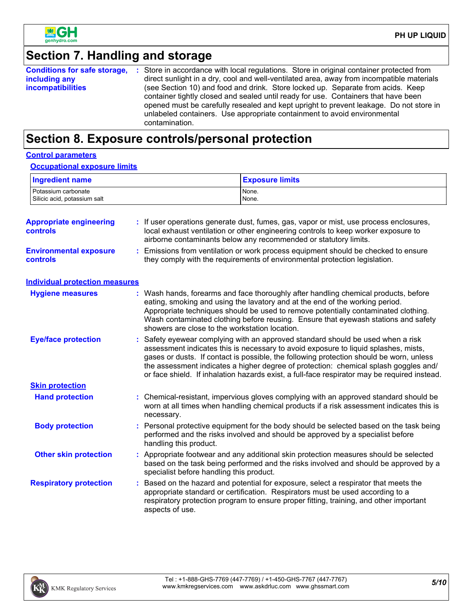

## **Section 7. Handling and storage**

| <b>Conditions for safe storage,</b> | : Store in accordance with local regulations. Store in original container protected from                                                                                                                                                                                                                                                                      |
|-------------------------------------|---------------------------------------------------------------------------------------------------------------------------------------------------------------------------------------------------------------------------------------------------------------------------------------------------------------------------------------------------------------|
| including any                       | direct sunlight in a dry, cool and well-ventilated area, away from incompatible materials                                                                                                                                                                                                                                                                     |
| <b>incompatibilities</b>            | (see Section 10) and food and drink. Store locked up. Separate from acids. Keep<br>container tightly closed and sealed until ready for use. Containers that have been<br>opened must be carefully resealed and kept upright to prevent leakage. Do not store in<br>unlabeled containers. Use appropriate containment to avoid environmental<br>contamination. |

## **Section 8. Exposure controls/personal protection**

### **Control parameters**

### **Occupational exposure limits**

| <b>Ingredient name</b>       | <b>Exposure limits</b> |
|------------------------------|------------------------|
| Potassium carbonate          | None.                  |
| Silicic acid, potassium salt | None.                  |

| <b>Appropriate engineering</b><br><b>controls</b> | : If user operations generate dust, fumes, gas, vapor or mist, use process enclosures,<br>local exhaust ventilation or other engineering controls to keep worker exposure to<br>airborne contaminants below any recommended or statutory limits.                                                                                                                                                                                                          |
|---------------------------------------------------|-----------------------------------------------------------------------------------------------------------------------------------------------------------------------------------------------------------------------------------------------------------------------------------------------------------------------------------------------------------------------------------------------------------------------------------------------------------|
| <b>Environmental exposure</b><br><b>controls</b>  | : Emissions from ventilation or work process equipment should be checked to ensure<br>they comply with the requirements of environmental protection legislation.                                                                                                                                                                                                                                                                                          |
| <b>Individual protection measures</b>             |                                                                                                                                                                                                                                                                                                                                                                                                                                                           |
| <b>Hygiene measures</b>                           | : Wash hands, forearms and face thoroughly after handling chemical products, before<br>eating, smoking and using the lavatory and at the end of the working period.<br>Appropriate techniques should be used to remove potentially contaminated clothing.<br>Wash contaminated clothing before reusing. Ensure that eyewash stations and safety<br>showers are close to the workstation location.                                                         |
| <b>Eye/face protection</b>                        | : Safety eyewear complying with an approved standard should be used when a risk<br>assessment indicates this is necessary to avoid exposure to liquid splashes, mists,<br>gases or dusts. If contact is possible, the following protection should be worn, unless<br>the assessment indicates a higher degree of protection: chemical splash goggles and/<br>or face shield. If inhalation hazards exist, a full-face respirator may be required instead. |
| <b>Skin protection</b>                            |                                                                                                                                                                                                                                                                                                                                                                                                                                                           |
| <b>Hand protection</b>                            | : Chemical-resistant, impervious gloves complying with an approved standard should be<br>worn at all times when handling chemical products if a risk assessment indicates this is<br>necessary.                                                                                                                                                                                                                                                           |
| <b>Body protection</b>                            | : Personal protective equipment for the body should be selected based on the task being<br>performed and the risks involved and should be approved by a specialist before<br>handling this product.                                                                                                                                                                                                                                                       |
| <b>Other skin protection</b>                      | : Appropriate footwear and any additional skin protection measures should be selected<br>based on the task being performed and the risks involved and should be approved by a<br>specialist before handling this product.                                                                                                                                                                                                                                 |
| <b>Respiratory protection</b>                     | : Based on the hazard and potential for exposure, select a respirator that meets the<br>appropriate standard or certification. Respirators must be used according to a<br>respiratory protection program to ensure proper fitting, training, and other important<br>aspects of use.                                                                                                                                                                       |

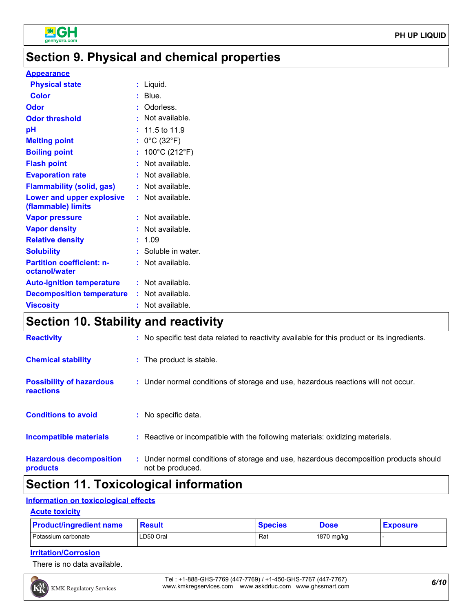

## **Section 9. Physical and chemical properties**

#### **Appearance**

| <b>Physical state</b>                             | : Liquid.                            |
|---------------------------------------------------|--------------------------------------|
| <b>Color</b>                                      | $:$ Blue.                            |
| Odor                                              | : Odorless.                          |
| <b>Odor threshold</b>                             | : Not available.                     |
| pH                                                | $: 11.5 \text{ to } 11.9$            |
| <b>Melting point</b>                              | : $0^{\circ}$ C (32 $^{\circ}$ F)    |
| <b>Boiling point</b>                              | : $100^{\circ}$ C (212 $^{\circ}$ F) |
| <b>Flash point</b>                                | : Not available.                     |
| <b>Evaporation rate</b>                           | : Not available.                     |
| <b>Flammability (solid, gas)</b>                  | : Not available.                     |
| Lower and upper explosive<br>(flammable) limits   | : Not available.                     |
| <b>Vapor pressure</b>                             | : Not available.                     |
| <b>Vapor density</b>                              | : Not available.                     |
| <b>Relative density</b>                           | : 1.09                               |
| <b>Solubility</b>                                 | : Soluble in water.                  |
| <b>Partition coefficient: n-</b><br>octanol/water | : Not available.                     |
| <b>Auto-ignition temperature</b>                  | : Not available.                     |
| <b>Decomposition temperature</b>                  | : Not available.                     |
| <b>Viscosity</b>                                  | : Not available.                     |
|                                                   |                                      |

## **Section 10. Stability and reactivity**

| <b>Reactivity</b>                                   | : No specific test data related to reactivity available for this product or its ingredients.              |
|-----------------------------------------------------|-----------------------------------------------------------------------------------------------------------|
| <b>Chemical stability</b>                           | : The product is stable.                                                                                  |
| <b>Possibility of hazardous</b><br><b>reactions</b> | : Under normal conditions of storage and use, hazardous reactions will not occur.                         |
| <b>Conditions to avoid</b>                          | : No specific data.                                                                                       |
| <b>Incompatible materials</b>                       | : Reactive or incompatible with the following materials: oxidizing materials.                             |
| <b>Hazardous decomposition</b><br>products          | : Under normal conditions of storage and use, hazardous decomposition products should<br>not be produced. |

## **Section 11. Toxicological information**

### **Information on toxicological effects**

### **Acute toxicity**

| <b>Product/ingredient name</b> | <b>Result</b> | <b>Species</b> | <b>Dose</b> | <b>Exposure</b> |
|--------------------------------|---------------|----------------|-------------|-----------------|
| Potassium carbonate            | LD50 Oral     | Rat            | 1870 mg/kg  |                 |

### **Irritation/Corrosion**

There is no data available.

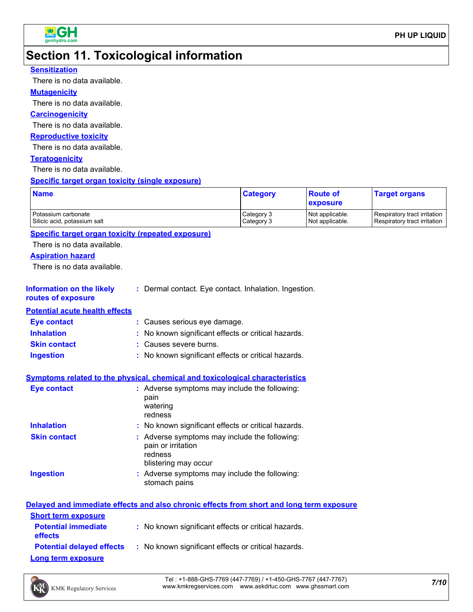

## **Section 11. Toxicological information**

### **Sensitization**

There is no data available.

#### **Mutagenicity**

There is no data available.

#### **Carcinogenicity**

There is no data available.

#### **Reproductive toxicity**

There is no data available.

### **Teratogenicity**

There is no data available.

#### **Specific target organ toxicity (single exposure)**

| <b>Name</b>                  | <b>Category</b> | <b>Route of</b><br><b>exposure</b> | <b>Target organs</b>         |
|------------------------------|-----------------|------------------------------------|------------------------------|
| Potassium carbonate          | Category 3      | Not applicable.                    | Respiratory tract irritation |
| Silicic acid, potassium salt | Category 3      | Not applicable.                    | Respiratory tract irritation |

### **Specific target organ toxicity (repeated exposure)**

There is no data available.

#### **Aspiration hazard**

There is no data available.

#### **Information on the likely :** Dermal contact. Eye contact. Inhalation. Ingestion.

#### **routes of exposure**

**Potential acute health effects**

| <b>Eye contact</b>  | : Causes serious eye damage.                        |
|---------------------|-----------------------------------------------------|
| <b>Inhalation</b>   | : No known significant effects or critical hazards. |
| <b>Skin contact</b> | : Causes severe burns.                              |
| <b>Ingestion</b>    | : No known significant effects or critical hazards. |

### **Symptoms related to the physical, chemical and toxicological characteristics**

| Eye contact         | : Adverse symptoms may include the following:<br>pain<br>watering<br>redness                           |
|---------------------|--------------------------------------------------------------------------------------------------------|
| <b>Inhalation</b>   | : No known significant effects or critical hazards.                                                    |
| <b>Skin contact</b> | : Adverse symptoms may include the following:<br>pain or irritation<br>redness<br>blistering may occur |
| <b>Ingestion</b>    | : Adverse symptoms may include the following:<br>stomach pains                                         |

|                                              | Delayed and immediate effects and also chronic effects from short and long term exposure |
|----------------------------------------------|------------------------------------------------------------------------------------------|
| <b>Short term exposure</b>                   |                                                                                          |
| <b>Potential immediate</b><br><b>effects</b> | : No known significant effects or critical hazards.                                      |
| <b>Potential delayed effects</b>             | : No known significant effects or critical hazards.                                      |
| <b>Long term exposure</b>                    |                                                                                          |



*7/10* Tel : +1-888-GHS-7769 (447-7769) / +1-450-GHS-7767 (447-7767) www.kmkregservices.com www.askdrluc.com www.ghssmart.com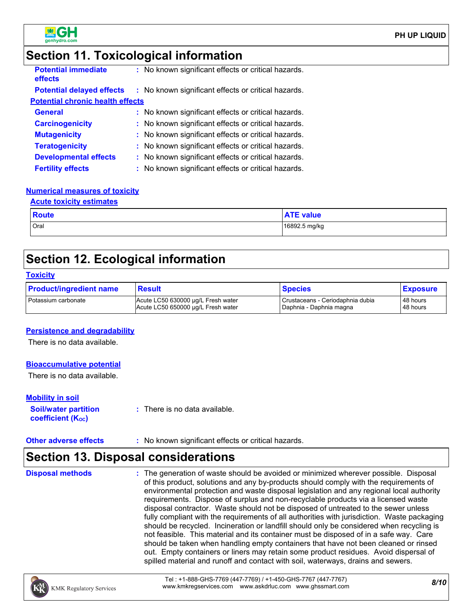

## **Section 11. Toxicological information**

| <b>Potential immediate</b><br>effects   | : No known significant effects or critical hazards. |  |
|-----------------------------------------|-----------------------------------------------------|--|
| <b>Potential delayed effects</b>        | : No known significant effects or critical hazards. |  |
| <b>Potential chronic health effects</b> |                                                     |  |
| <b>General</b>                          | : No known significant effects or critical hazards. |  |
| <b>Carcinogenicity</b>                  | : No known significant effects or critical hazards. |  |
| <b>Mutagenicity</b>                     | : No known significant effects or critical hazards. |  |
| <b>Teratogenicity</b>                   | : No known significant effects or critical hazards. |  |
| <b>Developmental effects</b>            | : No known significant effects or critical hazards. |  |
| <b>Fertility effects</b>                | : No known significant effects or critical hazards. |  |

### **Numerical measures of toxicity**

#### **Acute toxicity estimates**

| <b>Route</b> | <b>ATE value</b> |
|--------------|------------------|
| Oral         | 16892.5 mg/kg    |

## **Section 12. Ecological information**

#### **Toxicity**

| <b>Product/ingredient name</b> | <b>Result</b>                      | <b>Species</b>                   | <b>Exposure</b> |
|--------------------------------|------------------------------------|----------------------------------|-----------------|
| Potassium carbonate            | Acute LC50 630000 µg/L Fresh water | Crustaceans - Ceriodaphnia dubia | 48 hours        |
|                                | Acute LC50 650000 µg/L Fresh water | Daphnia - Daphnia magna          | 48 hours        |

### **Persistence and degradability**

There is no data available.

### **Bioaccumulative potential**

There is no data available.

#### **Mobility in soil**

**Soil/water partition coefficient (K**<sub>oc</sub>)

**:** There is no data available.

**Other adverse effects** : No known significant effects or critical hazards.

## **Section 13. Disposal considerations**

The generation of waste should be avoided or minimized wherever possible. Disposal of this product, solutions and any by-products should comply with the requirements of environmental protection and waste disposal legislation and any regional local authority requirements. Dispose of surplus and non-recyclable products via a licensed waste disposal contractor. Waste should not be disposed of untreated to the sewer unless fully compliant with the requirements of all authorities with jurisdiction. Waste packaging should be recycled. Incineration or landfill should only be considered when recycling is not feasible. This material and its container must be disposed of in a safe way. Care should be taken when handling empty containers that have not been cleaned or rinsed out. Empty containers or liners may retain some product residues. Avoid dispersal of spilled material and runoff and contact with soil, waterways, drains and sewers. **Disposal methods :**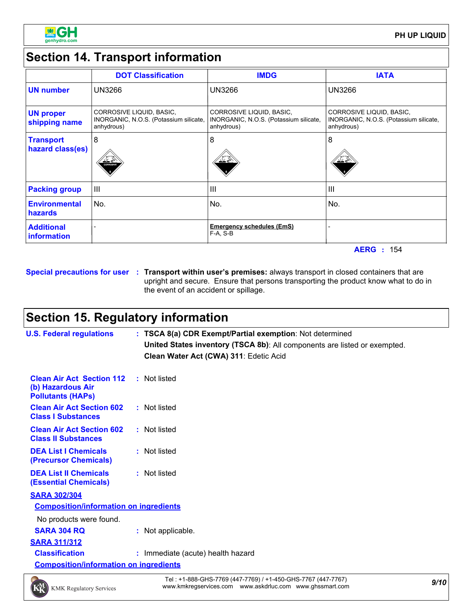

## **Section 14. Transport information**

|                                         | <b>DOT Classification</b>                                                        | <b>IMDG</b>                                                                      | <b>IATA</b>                                                                      |
|-----------------------------------------|----------------------------------------------------------------------------------|----------------------------------------------------------------------------------|----------------------------------------------------------------------------------|
| <b>UN number</b>                        | <b>UN3266</b>                                                                    | UN3266                                                                           | <b>UN3266</b>                                                                    |
| <b>UN proper</b><br>shipping name       | CORROSIVE LIQUID, BASIC,<br>INORGANIC, N.O.S. (Potassium silicate,<br>anhydrous) | CORROSIVE LIQUID, BASIC,<br>INORGANIC, N.O.S. (Potassium silicate,<br>anhydrous) | CORROSIVE LIQUID, BASIC,<br>INORGANIC, N.O.S. (Potassium silicate,<br>anhydrous) |
| <b>Transport</b><br>hazard class(es)    | 8<br>立登<br>CORROSNE                                                              | 8                                                                                | 8<br>$\frac{\Delta^2\mathscr{L}}{\Delta}$ or                                     |
| <b>Packing group</b>                    | Ш                                                                                | $\mathbf{III}$                                                                   | III                                                                              |
| <b>Environmental</b><br>hazards         | No.                                                                              | No.                                                                              | No.                                                                              |
| <b>Additional</b><br><i>information</i> |                                                                                  | <b>Emergency schedules (EmS)</b><br>$F-A, S-B$                                   |                                                                                  |

**AERG :** 154

**Special precautions for user Transport within user's premises:** always transport in closed containers that are **:** upright and secure. Ensure that persons transporting the product know what to do in the event of an accident or spillage.

## **Section 15. Regulatory information**

| <b>U.S. Federal regulations</b>                                                   | : TSCA 8(a) CDR Exempt/Partial exemption: Not determined<br>United States inventory (TSCA 8b): All components are listed or exempted.<br>Clean Water Act (CWA) 311: Edetic Acid |  |  |  |
|-----------------------------------------------------------------------------------|---------------------------------------------------------------------------------------------------------------------------------------------------------------------------------|--|--|--|
| <b>Clean Air Act Section 112</b><br>(b) Hazardous Air<br><b>Pollutants (HAPS)</b> | : Not listed                                                                                                                                                                    |  |  |  |
| <b>Clean Air Act Section 602</b><br><b>Class I Substances</b>                     | : Not listed                                                                                                                                                                    |  |  |  |
| <b>Clean Air Act Section 602</b><br><b>Class II Substances</b>                    | : Not listed                                                                                                                                                                    |  |  |  |
| <b>DEA List I Chemicals</b><br>(Precursor Chemicals)                              | : Not listed                                                                                                                                                                    |  |  |  |
| <b>DEA List II Chemicals</b><br><b>(Essential Chemicals)</b>                      | : Not listed                                                                                                                                                                    |  |  |  |
| <b>SARA 302/304</b>                                                               |                                                                                                                                                                                 |  |  |  |
| <b>Composition/information on ingredients</b>                                     |                                                                                                                                                                                 |  |  |  |
| No products were found.                                                           |                                                                                                                                                                                 |  |  |  |
| <b>SARA 304 RQ</b>                                                                | : Not applicable.                                                                                                                                                               |  |  |  |
| <b>SARA 311/312</b>                                                               |                                                                                                                                                                                 |  |  |  |
| <b>Classification</b>                                                             | : Immediate (acute) health hazard                                                                                                                                               |  |  |  |
| <b>Composition/information on ingredients</b>                                     |                                                                                                                                                                                 |  |  |  |



*9/10* Tel : +1-888-GHS-7769 (447-7769) / +1-450-GHS-7767 (447-7767) www.kmkregservices.com www.askdrluc.com www.ghssmart.com